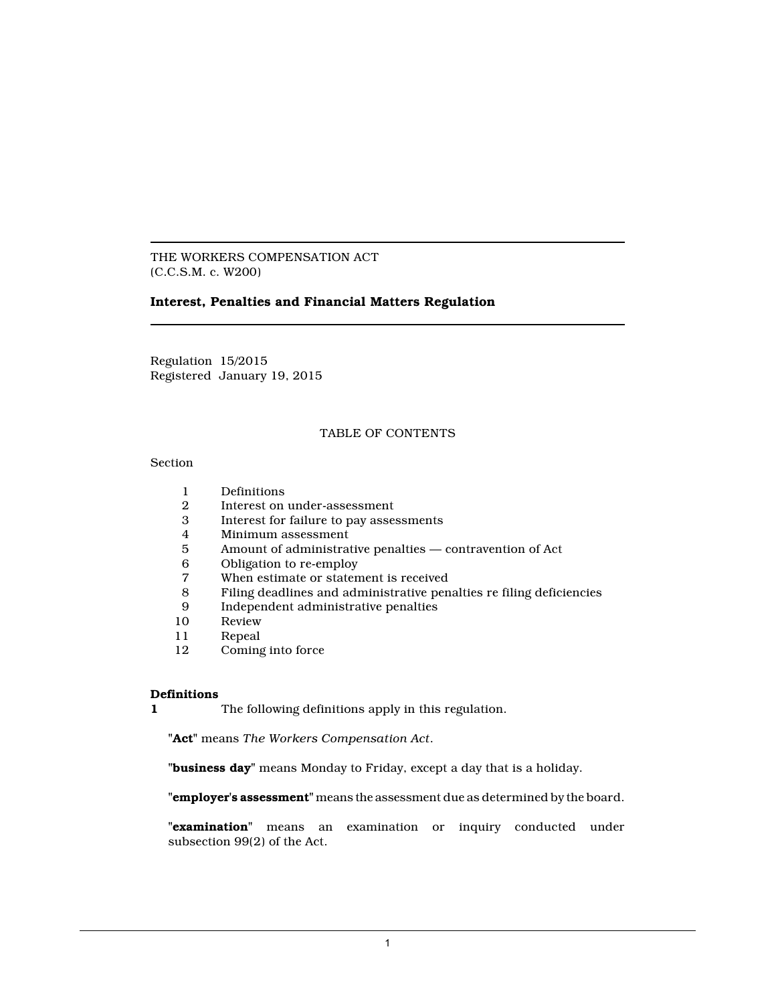THE WORKERS COMPENSATION ACT (C.C.S.M. c. W200)

# **Interest, Penalties and Financial Matters Regulation**

Regulation 15/2015 Registered January 19, 2015

# TABLE OF CONTENTS

## Section

- 1 Definitions
- 2 Interest on under-assessment
- 3 Interest for failure to pay assessments
- 4 Minimum assessment
- 5 Amount of administrative penalties contravention of Act<br>6 Obligation to re-employ
- 6 Obligation to re-employ
- When estimate or statement is received
- 8 Filing deadlines and administrative penalties re filing deficiencies
- 9 Independent administrative penalties
- 10 Review<br>11 Repeal
- 11 Repeal<br>12 Coming
- Coming into force

### **Definitions**

**1** The following definitions apply in this regulation.

**"Act"** means *The Workers Compensation Act*.

**"business day"** means Monday to Friday, except a day that is a holiday.

**"employer's assessment"** means the assessment due as determined by the board.

**"examination"** means an examination or inquiry conducted under subsection 99(2) of the Act.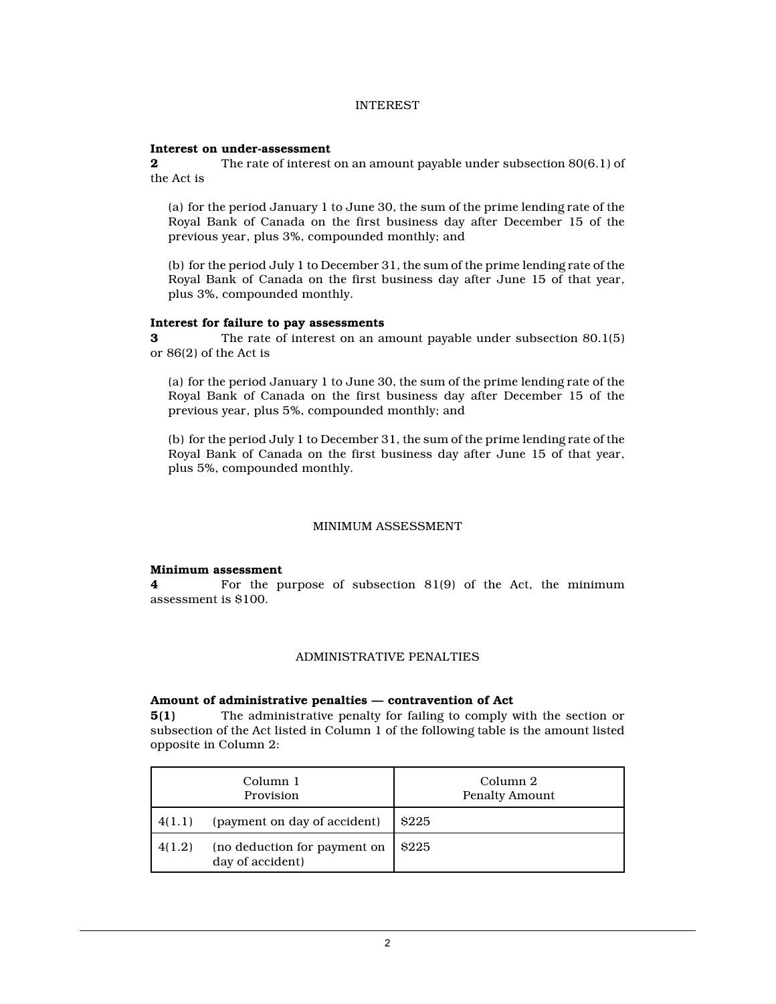# INTEREST

### **Interest on under-assessment**

**2** The rate of interest on an amount payable under subsection 80(6.1) of the Act is

(a) for the period January 1 to June 30, the sum of the prime lending rate of the Royal Bank of Canada on the first business day after December 15 of the previous year, plus 3%, compounded monthly; and

(b) for the period July 1 to December 31, the sum of the prime lending rate of the Royal Bank of Canada on the first business day after June 15 of that year, plus 3%, compounded monthly.

# **Interest for failure to pay assessments**

**3** The rate of interest on an amount payable under subsection 80.1(5) or 86(2) of the Act is

(a) for the period January 1 to June 30, the sum of the prime lending rate of the Royal Bank of Canada on the first business day after December 15 of the previous year, plus 5%, compounded monthly; and

(b) for the period July 1 to December 31, the sum of the prime lending rate of the Royal Bank of Canada on the first business day after June 15 of that year, plus 5%, compounded monthly.

# MINIMUM ASSESSMENT

### **Minimum assessment**

**4** For the purpose of subsection 81(9) of the Act, the minimum assessment is \$100.

# ADMINISTRATIVE PENALTIES

### **Amount of administrative penalties — contravention of Act**

**5(1)** The administrative penalty for failing to comply with the section or subsection of the Act listed in Column 1 of the following table is the amount listed opposite in Column 2:

|        | Column 1<br>Provision                            | Column 2<br><b>Penalty Amount</b> |
|--------|--------------------------------------------------|-----------------------------------|
| 4(1.1) | (payment on day of accident)                     | \$225                             |
| 4(1.2) | (no deduction for payment on<br>day of accident) | <b>S225</b>                       |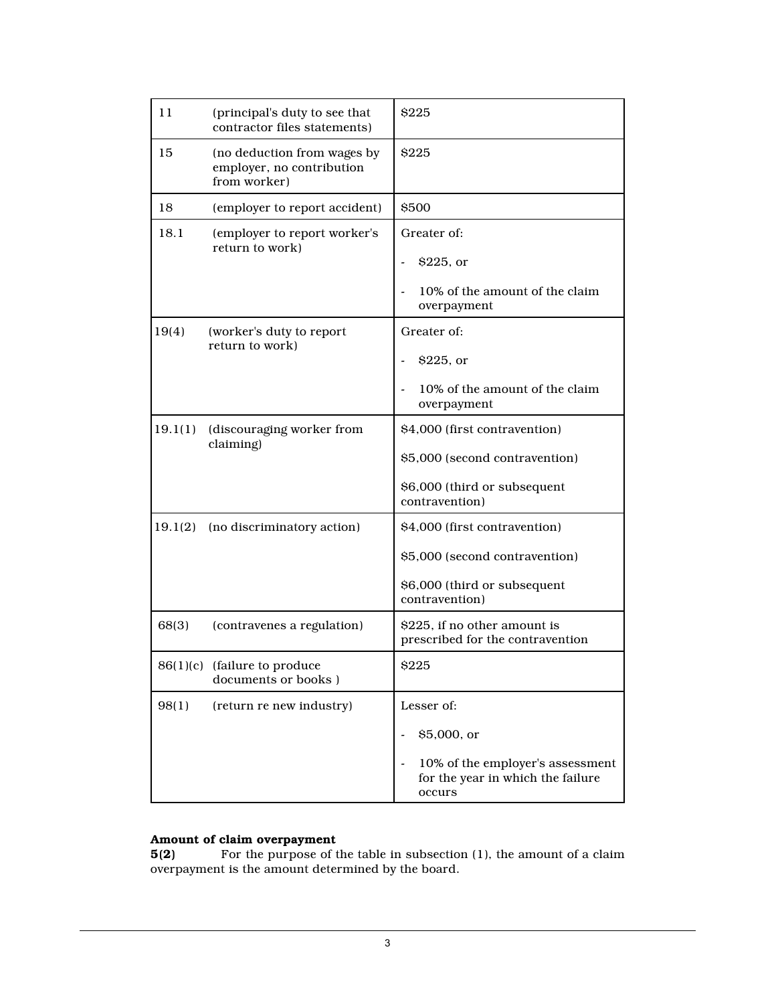| 11      | (principal's duty to see that<br>contractor files statements)            | \$225                                                                                                             |
|---------|--------------------------------------------------------------------------|-------------------------------------------------------------------------------------------------------------------|
| 15      | (no deduction from wages by<br>employer, no contribution<br>from worker) | \$225                                                                                                             |
| 18      | (employer to report accident)                                            | <b>S500</b>                                                                                                       |
| 18.1    | (employer to report worker's<br>return to work)                          | Greater of:<br>$$225$ , or<br>10% of the amount of the claim<br>overpayment                                       |
| 19(4)   | (worker's duty to report<br>return to work)                              | Greater of:<br>\$225, or<br>10% of the amount of the claim<br>overpayment                                         |
| 19.1(1) | (discouraging worker from<br>claiming)                                   | \$4,000 (first contravention)<br>\$5,000 (second contravention)<br>\$6,000 (third or subsequent<br>contravention) |
| 19.1(2) | (no discriminatory action)                                               | \$4,000 (first contravention)<br>\$5,000 (second contravention)<br>\$6,000 (third or subsequent<br>contravention) |
| 68(3)   | (contravenes a regulation)                                               | \$225, if no other amount is<br>prescribed for the contravention                                                  |
|         | 86(1)(c) (failure to produce<br>documents or books)                      | \$225                                                                                                             |
| 98(1)   | (return re new industry)                                                 | Lesser of:<br>\$5,000, or<br>10% of the employer's assessment<br>for the year in which the failure<br>occurs      |

# **Amount of claim overpayment**

**5(2)** For the purpose of the table in subsection (1), the amount of a claim overpayment is the amount determined by the board.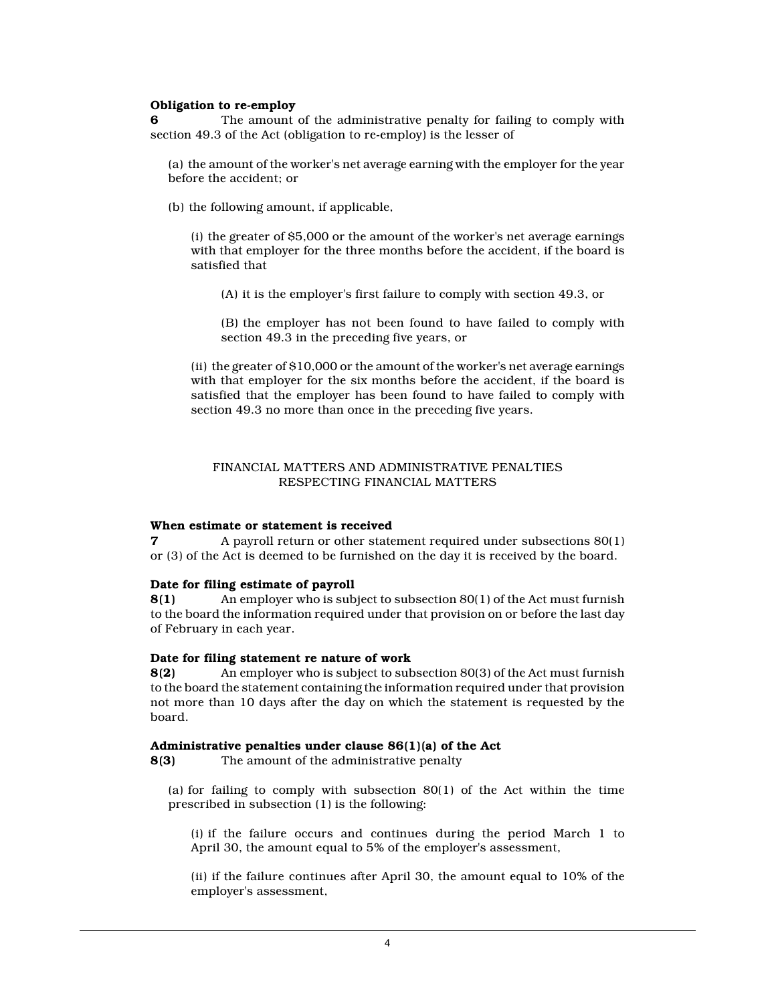# **Obligation to re-employ**

**6** The amount of the administrative penalty for failing to comply with section 49.3 of the Act (obligation to re-employ) is the lesser of

(a) the amount of the worker's net average earning with the employer for the year before the accident; or

(b) the following amount, if applicable,

(i) the greater of \$5,000 or the amount of the worker's net average earnings with that employer for the three months before the accident, if the board is satisfied that

(A) it is the employer's first failure to comply with section 49.3, or

(B) the employer has not been found to have failed to comply with section 49.3 in the preceding five years, or

(ii) the greater of \$10,000 or the amount of the worker's net average earnings with that employer for the six months before the accident, if the board is satisfied that the employer has been found to have failed to comply with section 49.3 no more than once in the preceding five years.

# FINANCIAL MATTERS AND ADMINISTRATIVE PENALTIES RESPECTING FINANCIAL MATTERS

### **When estimate or statement is received**

**7 A** payroll return or other statement required under subsections 80(1) or (3) of the Act is deemed to be furnished on the day it is received by the board.

### **Date for filing estimate of payroll**

**8(1)** An employer who is subject to subsection 80(1) of the Act must furnish to the board the information required under that provision on or before the last day of February in each year.

### **Date for filing statement re nature of work**

**8(2)** An employer who is subject to subsection 80(3) of the Act must furnish to the board the statement containing the information required under that provision not more than 10 days after the day on which the statement is requested by the board.

#### **Administrative penalties under clause 86(1)(a) of the Act**

**8(3)** The amount of the administrative penalty

(a) for failing to comply with subsection  $80(1)$  of the Act within the time prescribed in subsection (1) is the following:

(i) if the failure occurs and continues during the period March 1 to April 30, the amount equal to 5% of the employer's assessment,

(ii) if the failure continues after April 30, the amount equal to 10% of the employer's assessment,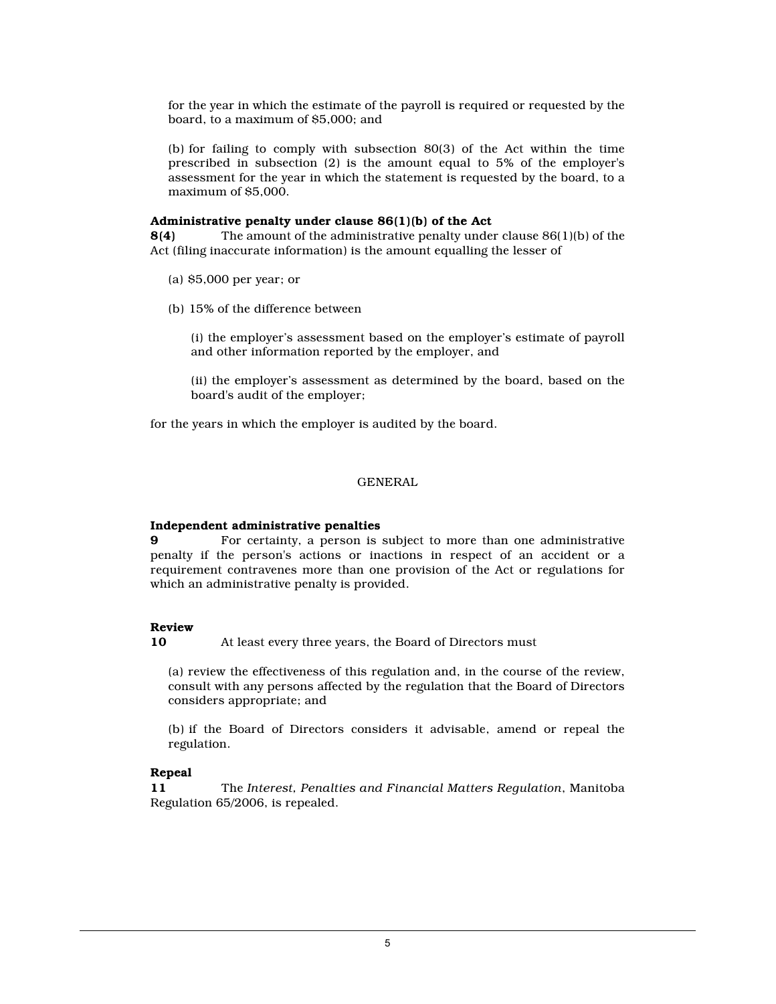for the year in which the estimate of the payroll is required or requested by the board, to a maximum of \$5,000; and

(b) for failing to comply with subsection 80(3) of the Act within the time prescribed in subsection (2) is the amount equal to 5% of the employer's assessment for the year in which the statement is requested by the board, to a maximum of \$5,000.

#### **Administrative penalty under clause 86(1)(b) of the Act**

**8(4)** The amount of the administrative penalty under clause 86(1)(b) of the Act (filing inaccurate information) is the amount equalling the lesser of

- (a) \$5,000 per year; or
- (b) 15% of the difference between

(i) the employer's assessment based on the employer's estimate of payroll and other information reported by the employer, and

(ii) the employer's assessment as determined by the board, based on the board's audit of the employer;

for the years in which the employer is audited by the board.

# GENERAL

#### **Independent administrative penalties**

**9** For certainty, a person is subject to more than one administrative penalty if the person's actions or inactions in respect of an accident or a requirement contravenes more than one provision of the Act or regulations for which an administrative penalty is provided.

## **Review**

**10** At least every three years, the Board of Directors must

(a) review the effectiveness of this regulation and, in the course of the review, consult with any persons affected by the regulation that the Board of Directors considers appropriate; and

(b) if the Board of Directors considers it advisable, amend or repeal the regulation.

# **Repeal**

**11** The *Interest, Penalties and Financial Matters Regulation*, Manitoba Regulation 65/2006, is repealed.